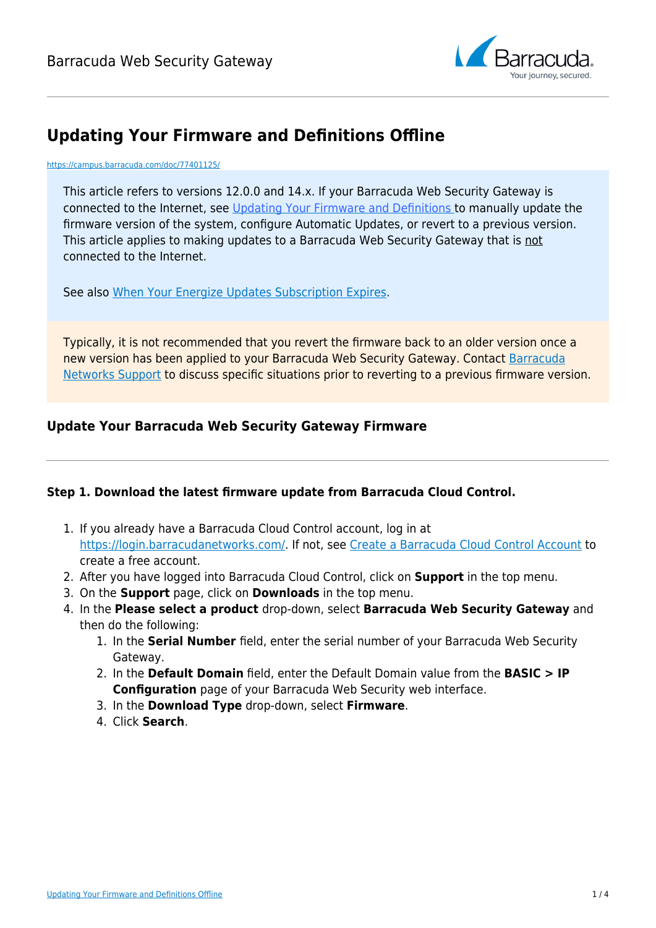

# **Updating Your Firmware and Definitions Offline**

#### <https://campus.barracuda.com/doc/77401125/>

This article refers to versions 12.0.0 and 14.x. If your Barracuda Web Security Gateway is connected to the Internet, see [Updating Your Firmware and Definitions](http://campus.barracuda.com/doc/77401119/) to manually update the firmware version of the system, configure Automatic Updates, or revert to a previous version. This article applies to making updates to a Barracuda Web Security Gateway that is not connected to the Internet.

See also [When Your Energize Updates Subscription Expires.](http://campus.barracuda.com/doc/79463917/)

Typically, it is not recommended that you revert the firmware back to an older version once a new version has been applied to your Barracuda Web Security Gateway. Contact [Barracuda](http://campus.barracuda.com/doc/5472272/) [Networks Support](http://campus.barracuda.com/doc/5472272/) to discuss specific situations prior to reverting to a previous firmware version.

## **Update Your Barracuda Web Security Gateway Firmware**

### **Step 1. Download the latest firmware update from Barracuda Cloud Control.**

- 1. If you already have a Barracuda Cloud Control account, log in at [https://login.barracudanetworks.com/.](https://login.barracudanetworks.com/) If not, see [Create a Barracuda Cloud Control Account](http://campus.barracuda.com/doc/69960174/) to create a free account.
- 2. After you have logged into Barracuda Cloud Control, click on **Support** in the top menu.
- 3. On the **Support** page, click on **Downloads** in the top menu.
- 4. In the **Please select a product** drop-down, select **Barracuda Web Security Gateway** and then do the following:
	- 1. In the **Serial Number** field, enter the serial number of your Barracuda Web Security Gateway.
	- 2. In the **Default Domain** field, enter the Default Domain value from the **BASIC > IP Configuration** page of your Barracuda Web Security web interface.
	- 3. In the **Download Type** drop-down, select **Firmware**.
	- 4. Click **Search**.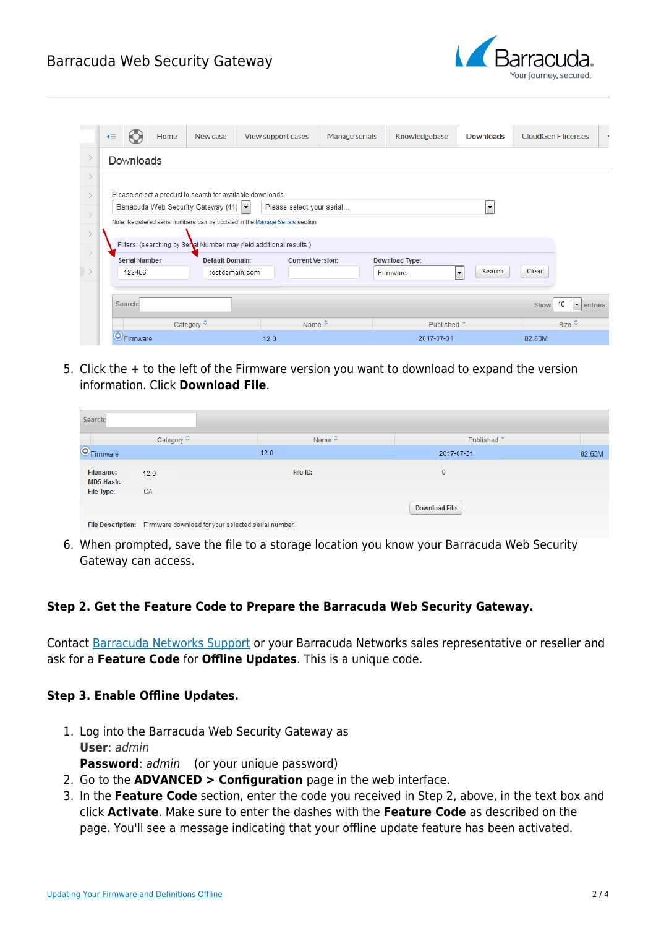# Barracuda Web Security Gateway



| K≣    |                      | Home | New case                              | View support cases                                                           | Manage serials          | Knowledgebase         | <b>Downloads</b>                   | <b>CloudGen F licenses</b> |                                     |
|-------|----------------------|------|---------------------------------------|------------------------------------------------------------------------------|-------------------------|-----------------------|------------------------------------|----------------------------|-------------------------------------|
| $\,>$ | Downloads            |      |                                       |                                                                              |                         |                       |                                    |                            |                                     |
|       |                      |      |                                       |                                                                              |                         |                       |                                    |                            |                                     |
|       |                      |      |                                       | Please select a product to search for available downloads                    |                         |                       |                                    |                            |                                     |
|       |                      |      | Barracuda Web Security Gateway (41) ~ | Please select your serial                                                    |                         |                       | $\overline{\phantom{a}}$           |                            |                                     |
|       |                      |      |                                       | Note: Registered serial numbers can be updated in the Manage Serials section |                         |                       |                                    |                            |                                     |
|       |                      |      |                                       |                                                                              |                         |                       |                                    |                            |                                     |
|       |                      |      |                                       | Filters: (searching by Senal Number may yield additional results.)           |                         |                       |                                    |                            |                                     |
|       | <b>Serial Number</b> |      | <b>Default Domain:</b>                | <b>Current Version:</b>                                                      |                         | <b>Download Type:</b> |                                    |                            |                                     |
|       | 123456               |      | testdomain.com                        |                                                                              |                         | Firmware              | Search<br>$\overline{\phantom{a}}$ | Clear                      |                                     |
|       |                      |      |                                       |                                                                              |                         |                       |                                    |                            |                                     |
|       | Search:              |      |                                       |                                                                              |                         |                       |                                    | Show                       | 10<br>$\blacktriangleright$ entries |
|       |                      |      | Category $\hat{\mathbf{v}}$           |                                                                              | Name $\hat{\mathbf{v}}$ | Published ▼           |                                    |                            | Size $\hat{\vee}$                   |
|       | <b>O</b> Firmware    |      |                                       | 12.0                                                                         |                         | 2017-07-31            |                                    | 82.63M                     |                                     |

5. Click the **+** to the left of the Firmware version you want to download to expand the version information. Click **Download File**.

| Search:                       |                                                                      |                         |                        |        |
|-------------------------------|----------------------------------------------------------------------|-------------------------|------------------------|--------|
|                               | Category $\diamond$                                                  | Name $\hat{\mathbf{v}}$ | Published <sup>*</sup> |        |
| <b>O</b> Firmware             |                                                                      | 12.0                    | 2017-07-31             | 82.63M |
| <b>Filename:</b><br>MD5-Hash: | 12.0                                                                 | File ID:                | 0                      |        |
| File Type:                    | <b>GA</b>                                                            |                         |                        |        |
|                               |                                                                      |                         | <b>Download File</b>   |        |
|                               | File Description: Firmware download for your selected serial number. |                         |                        |        |

6. When prompted, save the file to a storage location you know your Barracuda Web Security Gateway can access.

### **Step 2. Get the Feature Code to Prepare the Barracuda Web Security Gateway.**

Contact [Barracuda Networks Support](https://www.barracuda.com/support/index) or your Barracuda Networks sales representative or reseller and ask for a **Feature Code** for **Offline Updates**. This is a unique code.

### **Step 3. Enable Offline Updates.**

- 1. Log into the Barracuda Web Security Gateway as **User**: admin **Password**: *admin* (or your unique password)
- 2. Go to the **ADVANCED > Configuration** page in the web interface.
- 3. In the **Feature Code** section, enter the code you received in Step 2, above, in the text box and click **Activate**. Make sure to enter the dashes with the **Feature Code** as described on the page. You'll see a message indicating that your offline update feature has been activated.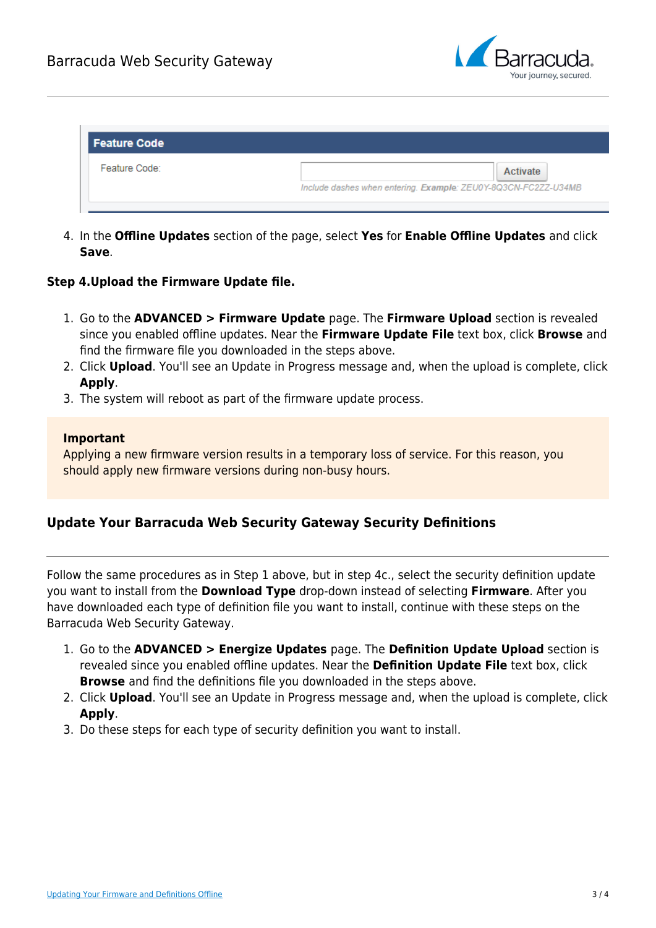

| <b>Feature Code</b> |                                                                |
|---------------------|----------------------------------------------------------------|
| Feature Code:       | Activate                                                       |
|                     | Include dashes when entering. Example: ZEU0Y-8Q3CN-FC2ZZ-U34MB |

4. In the **Offline Updates** section of the page, select **Yes** for **Enable Offline Updates** and click **Save**.

#### **Step 4.Upload the Firmware Update file.**

- 1. Go to the **ADVANCED > Firmware Update** page. The **Firmware Upload** section is revealed since you enabled offline updates. Near the **Firmware Update File** text box, click **Browse** and find the firmware file you downloaded in the steps above.
- 2. Click **Upload**. You'll see an Update in Progress message and, when the upload is complete, click **Apply**.
- 3. The system will reboot as part of the firmware update process.

#### **Important**

Applying a new firmware version results in a temporary loss of service. For this reason, you should apply new firmware versions during non-busy hours.

### **Update Your Barracuda Web Security Gateway Security Definitions**

Follow the same procedures as in Step 1 above, but in step 4c., select the security definition update you want to install from the **Download Type** drop-down instead of selecting **Firmware**. After you have downloaded each type of definition file you want to install, continue with these steps on the Barracuda Web Security Gateway.

- 1. Go to the **ADVANCED > Energize Updates** page. The **Definition Update Upload** section is revealed since you enabled offline updates. Near the **Definition Update File** text box, click **Browse** and find the definitions file you downloaded in the steps above.
- 2. Click **Upload**. You'll see an Update in Progress message and, when the upload is complete, click **Apply**.
- 3. Do these steps for each type of security definition you want to install.